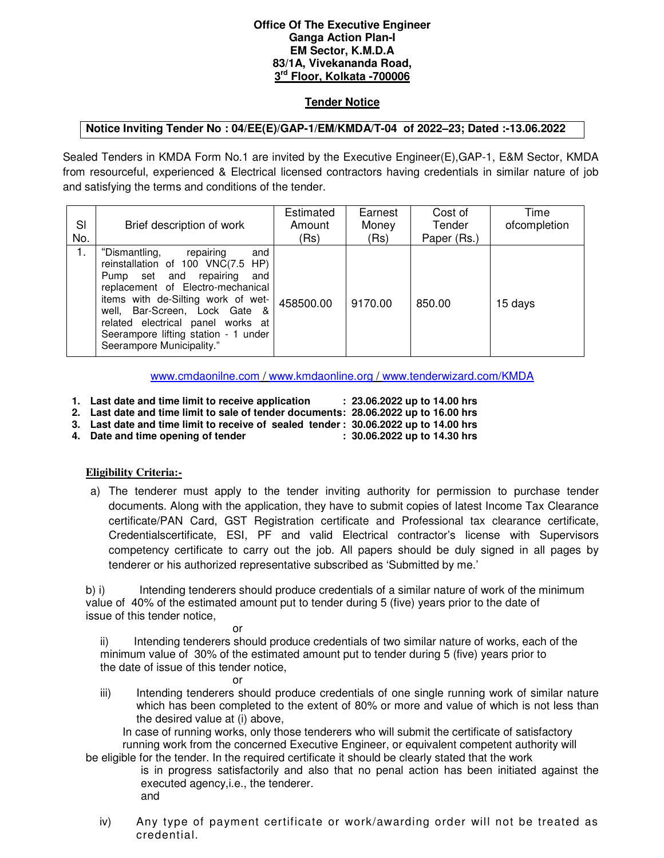## **Office Of The Executive Engineer Ganga Action Plan-I EM Sector, K.M.D.A 83/1A, Vivekananda Road, 3 rd Floor, Kolkata -700006**

## **Tender Notice**

## **Notice Inviting Tender No : 04/EE(E)/GAP-1/EM/KMDA/T-04 of 2022–23; Dated :-13.06.2022**

Sealed Tenders in KMDA Form No.1 are invited by the Executive Engineer(E),GAP-1, E&M Sector, KMDA from resourceful, experienced & Electrical licensed contractors having credentials in similar nature of job and satisfying the terms and conditions of the tender.

| SI<br>No. | Brief description of work                                                                                                                                                                                                                                                                                                        | Estimated<br>Amount<br>(Rs) | Earnest<br>Money<br>(Rs) | Cost of<br>Tender<br>Paper (Rs.) | Time<br>ofcompletion |
|-----------|----------------------------------------------------------------------------------------------------------------------------------------------------------------------------------------------------------------------------------------------------------------------------------------------------------------------------------|-----------------------------|--------------------------|----------------------------------|----------------------|
| 1.        | repairing<br>"Dismantling,<br>and<br>reinstallation of 100 VNC(7.5 HP)<br>Pump set and<br>repairing<br>and<br>replacement of Electro-mechanical<br>items with de-Silting work of wet-<br>well, Bar-Screen, Lock Gate &<br>related electrical panel works at<br>Seerampore lifting station - 1 under<br>Seerampore Municipality." | 458500.00                   | 9170.00                  | 850.00                           | 15 days              |

www.cmdaonilne.com / www.kmdaonline.org / www.tenderwizard.com/KMDA

- **1. Last date and time limit to receive application : 23.06.2022 up to 14.00 hrs**
- **2. Last date and time limit to sale of tender documents : 28.06.2022 up to 16.00 hrs**
- **3. Last date and time limit to receive of sealed tender : 30.06.2022 up to 14.00 hrs**
- **4.** Date and time opening of tender

## **Eligibility Criteria:-**

a) The tenderer must apply to the tender inviting authority for permission to purchase tender documents. Along with the application, they have to submit copies of latest Income Tax Clearance certificate/PAN Card, GST Registration certificate and Professional tax clearance certificate, Credentialscertificate, ESI, PF and valid Electrical contractor's license with Supervisors competency certificate to carry out the job. All papers should be duly signed in all pages by tenderer or his authorized representative subscribed as 'Submitted by me.'

b) i) Intending tenderers should produce credentials of a similar nature of work of the minimum value of 40% of the estimated amount put to tender during 5 (five) years prior to the date of issue of this tender notice,

**or** *order* ii) Intending tenderers should produce credentials of two similar nature of works, each of the minimum value of 30% of the estimated amount put to tender during 5 (five) years prior to the date of issue of this tender notice,

- **or** *or or*
- iii) Intending tenderers should produce credentials of one single running work of similar nature which has been completed to the extent of 80% or more and value of which is not less than the desired value at (i) above,

In case of running works, only those tenderers who will submit the certificate of satisfactory running work from the concerned Executive Engineer, or equivalent competent authority will be eligible for the tender. In the required certificate it should be clearly stated that the work

is in progress satisfactorily and also that no penal action has been initiated against the executed agency,i.e., the tenderer. and

iv) Any type of payment certificate or work/awarding order will not be treated as credential.